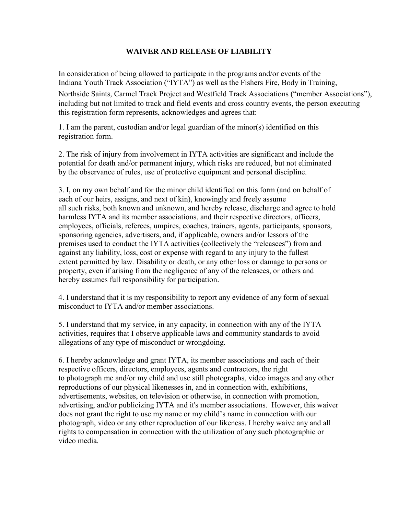## **WAIVER AND RELEASE OF LIABILITY**

In consideration of being allowed to participate in the programs and/or events of the Indiana Youth Track Association ("IYTA") as well as the Fishers Fire, Body in Training, Northside Saints, Carmel Track Project and Westfield Track Associations ("member Associations"), including but not limited to track and field events and cross country events, the person executing this registration form represents, acknowledges and agrees that:

1. I am the parent, custodian and/or legal guardian of the minor(s) identified on this registration form.

2. The risk of injury from involvement in IYTA activities are significant and include the potential for death and/or permanent injury, which risks are reduced, but not eliminated by the observance of rules, use of protective equipment and personal discipline.

3. I, on my own behalf and for the minor child identified on this form (and on behalf of each of our heirs, assigns, and next of kin), knowingly and freely assume all such risks, both known and unknown, and hereby release, discharge and agree to hold harmless IYTA and its member associations, and their respective directors, officers, employees, officials, referees, umpires, coaches, trainers, agents, participants, sponsors, sponsoring agencies, advertisers, and, if applicable, owners and/or lessors of the premises used to conduct the IYTA activities (collectively the "releasees") from and against any liability, loss, cost or expense with regard to any injury to the fullest extent permitted by law. Disability or death, or any other loss or damage to persons or property, even if arising from the negligence of any of the releasees, or others and hereby assumes full responsibility for participation.

4. I understand that it is my responsibility to report any evidence of any form of sexual misconduct to IYTA and/or member associations.

5. I understand that my service, in any capacity, in connection with any of the IYTA activities, requires that I observe applicable laws and community standards to avoid allegations of any type of misconduct or wrongdoing.

6. I hereby acknowledge and grant IYTA, its member associations and each of their respective officers, directors, employees, agents and contractors, the right to photograph me and/or my child and use still photographs, video images and any other reproductions of our physical likenesses in, and in connection with, exhibitions, advertisements, websites, on television or otherwise, in connection with promotion, advertising, and/or publicizing IYTA and it's member associations. However, this waiver does not grant the right to use my name or my child's name in connection with our photograph, video or any other reproduction of our likeness. I hereby waive any and all rights to compensation in connection with the utilization of any such photographic or video media.